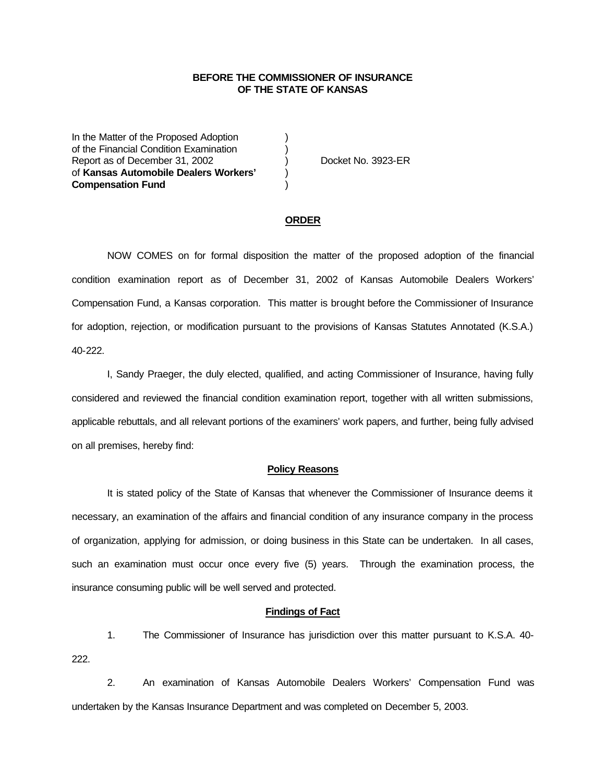## **BEFORE THE COMMISSIONER OF INSURANCE OF THE STATE OF KANSAS**

In the Matter of the Proposed Adoption of the Financial Condition Examination ) Report as of December 31, 2002 (and Separation Contract No. 3923-ER of **Kansas Automobile Dealers Workers'** ) **Compensation Fund** )

### **ORDER**

NOW COMES on for formal disposition the matter of the proposed adoption of the financial condition examination report as of December 31, 2002 of Kansas Automobile Dealers Workers' Compensation Fund, a Kansas corporation. This matter is brought before the Commissioner of Insurance for adoption, rejection, or modification pursuant to the provisions of Kansas Statutes Annotated (K.S.A.) 40-222.

I, Sandy Praeger, the duly elected, qualified, and acting Commissioner of Insurance, having fully considered and reviewed the financial condition examination report, together with all written submissions, applicable rebuttals, and all relevant portions of the examiners' work papers, and further, being fully advised on all premises, hereby find:

#### **Policy Reasons**

It is stated policy of the State of Kansas that whenever the Commissioner of Insurance deems it necessary, an examination of the affairs and financial condition of any insurance company in the process of organization, applying for admission, or doing business in this State can be undertaken. In all cases, such an examination must occur once every five (5) years. Through the examination process, the insurance consuming public will be well served and protected.

## **Findings of Fact**

1. The Commissioner of Insurance has jurisdiction over this matter pursuant to K.S.A. 40- 222.

2. An examination of Kansas Automobile Dealers Workers' Compensation Fund was undertaken by the Kansas Insurance Department and was completed on December 5, 2003.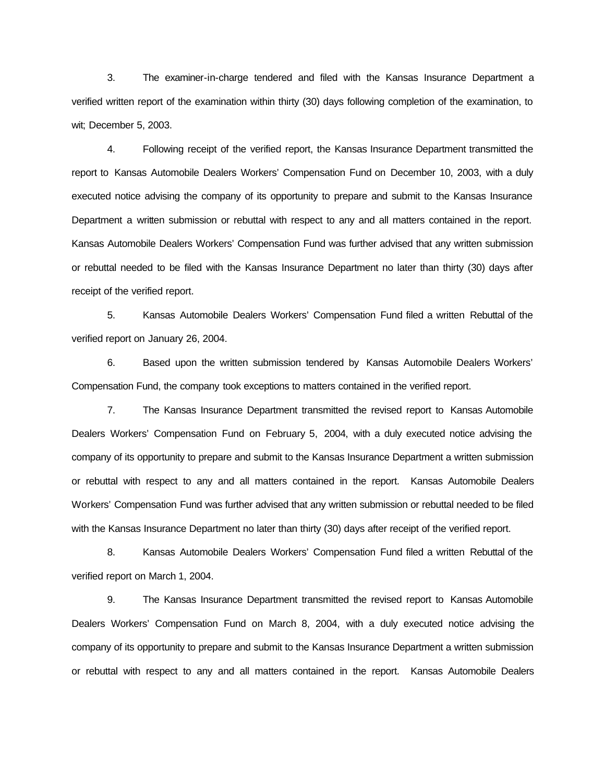3. The examiner-in-charge tendered and filed with the Kansas Insurance Department a verified written report of the examination within thirty (30) days following completion of the examination, to wit; December 5, 2003.

4. Following receipt of the verified report, the Kansas Insurance Department transmitted the report to Kansas Automobile Dealers Workers' Compensation Fund on December 10, 2003, with a duly executed notice advising the company of its opportunity to prepare and submit to the Kansas Insurance Department a written submission or rebuttal with respect to any and all matters contained in the report. Kansas Automobile Dealers Workers' Compensation Fund was further advised that any written submission or rebuttal needed to be filed with the Kansas Insurance Department no later than thirty (30) days after receipt of the verified report.

5. Kansas Automobile Dealers Workers' Compensation Fund filed a written Rebuttal of the verified report on January 26, 2004.

6. Based upon the written submission tendered by Kansas Automobile Dealers Workers' Compensation Fund, the company took exceptions to matters contained in the verified report.

7. The Kansas Insurance Department transmitted the revised report to Kansas Automobile Dealers Workers' Compensation Fund on February 5, 2004, with a duly executed notice advising the company of its opportunity to prepare and submit to the Kansas Insurance Department a written submission or rebuttal with respect to any and all matters contained in the report. Kansas Automobile Dealers Workers' Compensation Fund was further advised that any written submission or rebuttal needed to be filed with the Kansas Insurance Department no later than thirty (30) days after receipt of the verified report.

8. Kansas Automobile Dealers Workers' Compensation Fund filed a written Rebuttal of the verified report on March 1, 2004.

9. The Kansas Insurance Department transmitted the revised report to Kansas Automobile Dealers Workers' Compensation Fund on March 8, 2004, with a duly executed notice advising the company of its opportunity to prepare and submit to the Kansas Insurance Department a written submission or rebuttal with respect to any and all matters contained in the report. Kansas Automobile Dealers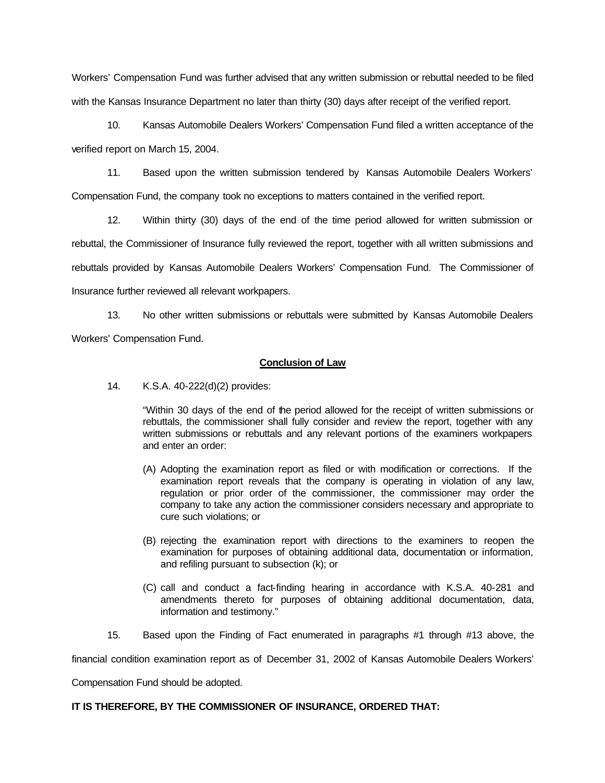Workers' Compensation Fund was further advised that any written submission or rebuttal needed to be filed with the Kansas Insurance Department no later than thirty (30) days after receipt of the verified report.

10. Kansas Automobile Dealers Workers' Compensation Fund filed a written acceptance of the verified report on March 15, 2004.

11. Based upon the written submission tendered by Kansas Automobile Dealers Workers' Compensation Fund, the company took no exceptions to matters contained in the verified report.

12. Within thirty (30) days of the end of the time period allowed for written submission or rebuttal, the Commissioner of Insurance fully reviewed the report, together with all written submissions and rebuttals provided by Kansas Automobile Dealers Workers' Compensation Fund. The Commissioner of Insurance further reviewed all relevant workpapers.

13. No other written submissions or rebuttals were submitted by Kansas Automobile Dealers Workers' Compensation Fund.

**Conclusion of Law**

14. K.S.A. 40-222(d)(2) provides:

"Within 30 days of the end of the period allowed for the receipt of written submissions or rebuttals, the commissioner shall fully consider and review the report, together with any written submissions or rebuttals and any relevant portions of the examiners workpapers and enter an order:

- (A) Adopting the examination report as filed or with modification or corrections. If the examination report reveals that the company is operating in violation of any law, regulation or prior order of the commissioner, the commissioner may order the company to take any action the commissioner considers necessary and appropriate to cure such violations; or
- (B) rejecting the examination report with directions to the examiners to reopen the examination for purposes of obtaining additional data, documentation or information, and refiling pursuant to subsection (k); or
- (C) call and conduct a fact-finding hearing in accordance with K.S.A. 40-281 and amendments thereto for purposes of obtaining additional documentation, data, information and testimony."
- 15. Based upon the Finding of Fact enumerated in paragraphs #1 through #13 above, the

financial condition examination report as of December 31, 2002 of Kansas Automobile Dealers Workers'

Compensation Fund should be adopted.

# **IT IS THEREFORE, BY THE COMMISSIONER OF INSURANCE, ORDERED THAT:**